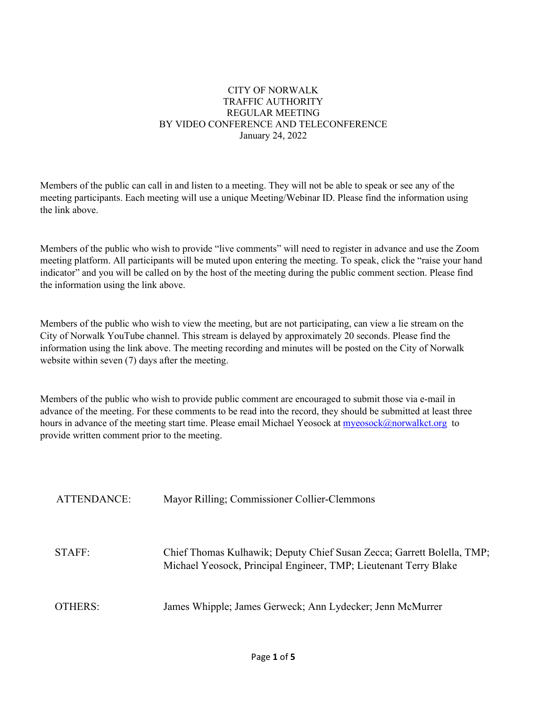#### CITY OF NORWALK TRAFFIC AUTHORITY REGULAR MEETING BY VIDEO CONFERENCE AND TELECONFERENCE January 24, 2022

Members of the public can call in and listen to a meeting. They will not be able to speak or see any of the meeting participants. Each meeting will use a unique Meeting/Webinar ID. Please find the information using the link above.

Members of the public who wish to provide "live comments" will need to register in advance and use the Zoom meeting platform. All participants will be muted upon entering the meeting. To speak, click the "raise your hand indicator" and you will be called on by the host of the meeting during the public comment section. Please find the information using the link above.

Members of the public who wish to view the meeting, but are not participating, can view a lie stream on the City of Norwalk YouTube channel. This stream is delayed by approximately 20 seconds. Please find the information using the link above. The meeting recording and minutes will be posted on the City of Norwalk website within seven (7) days after the meeting.

Members of the public who wish to provide public comment are encouraged to submit those via e-mail in advance of the meeting. For these comments to be read into the record, they should be submitted at least three hours in advance of the meeting start time. Please email Michael Yeosock at [myeosock@norwalkct.org](mailto:myeosock@norwalkct.org) to provide written comment prior to the meeting.

| ATTENDANCE: | Mayor Rilling; Commissioner Collier-Clemmons                                                                                               |
|-------------|--------------------------------------------------------------------------------------------------------------------------------------------|
|             |                                                                                                                                            |
| STAFF:      | Chief Thomas Kulhawik; Deputy Chief Susan Zecca; Garrett Bolella, TMP;<br>Michael Yeosock, Principal Engineer, TMP; Lieutenant Terry Blake |
| OTHERS:     | James Whipple; James Gerweck; Ann Lydecker; Jenn McMurrer                                                                                  |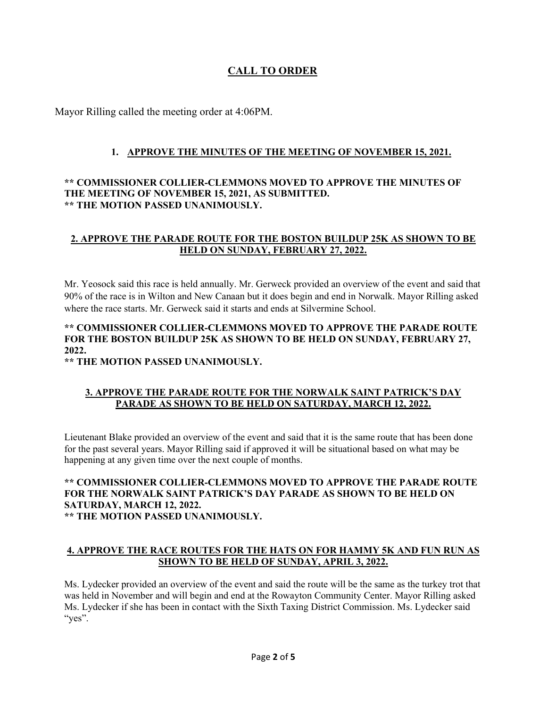# **CALL TO ORDER**

Mayor Rilling called the meeting order at 4:06PM.

# **1. APPROVE THE MINUTES OF THE MEETING OF NOVEMBER 15, 2021.**

### **\*\* COMMISSIONER COLLIER-CLEMMONS MOVED TO APPROVE THE MINUTES OF THE MEETING OF NOVEMBER 15, 2021, AS SUBMITTED. \*\* THE MOTION PASSED UNANIMOUSLY.**

### **2. APPROVE THE PARADE ROUTE FOR THE BOSTON BUILDUP 25K AS SHOWN TO BE HELD ON SUNDAY, FEBRUARY 27, 2022.**

Mr. Yeosock said this race is held annually. Mr. Gerweck provided an overview of the event and said that 90% of the race is in Wilton and New Canaan but it does begin and end in Norwalk. Mayor Rilling asked where the race starts. Mr. Gerweck said it starts and ends at Silvermine School.

# **\*\* COMMISSIONER COLLIER-CLEMMONS MOVED TO APPROVE THE PARADE ROUTE FOR THE BOSTON BUILDUP 25K AS SHOWN TO BE HELD ON SUNDAY, FEBRUARY 27, 2022.**

**\*\* THE MOTION PASSED UNANIMOUSLY.**

# **3. APPROVE THE PARADE ROUTE FOR THE NORWALK SAINT PATRICK'S DAY PARADE AS SHOWN TO BE HELD ON SATURDAY, MARCH 12, 2022.**

Lieutenant Blake provided an overview of the event and said that it is the same route that has been done for the past several years. Mayor Rilling said if approved it will be situational based on what may be happening at any given time over the next couple of months.

#### **\*\* COMMISSIONER COLLIER-CLEMMONS MOVED TO APPROVE THE PARADE ROUTE FOR THE NORWALK SAINT PATRICK'S DAY PARADE AS SHOWN TO BE HELD ON SATURDAY, MARCH 12, 2022. \*\* THE MOTION PASSED UNANIMOUSLY.**

### **4. APPROVE THE RACE ROUTES FOR THE HATS ON FOR HAMMY 5K AND FUN RUN AS SHOWN TO BE HELD OF SUNDAY, APRIL 3, 2022.**

Ms. Lydecker provided an overview of the event and said the route will be the same as the turkey trot that was held in November and will begin and end at the Rowayton Community Center. Mayor Rilling asked Ms. Lydecker if she has been in contact with the Sixth Taxing District Commission. Ms. Lydecker said "yes".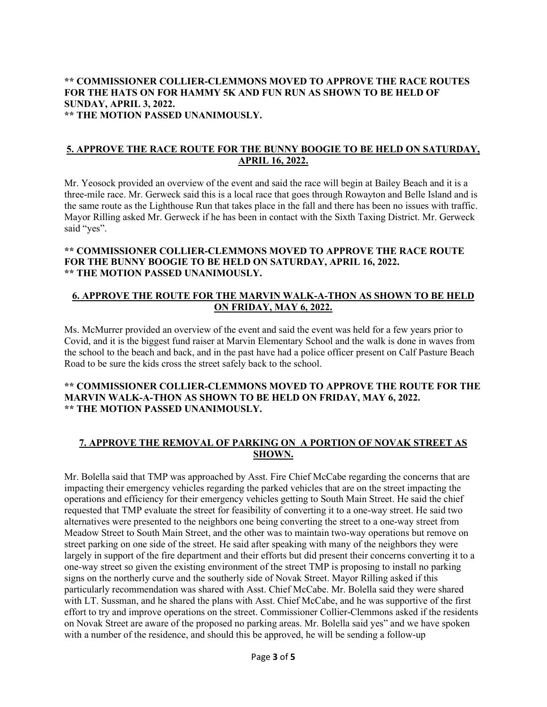#### **\*\* COMMISSIONER COLLIER-CLEMMONS MOVED TO APPROVE THE RACE ROUTES FOR THE HATS ON FOR HAMMY 5K AND FUN RUN AS SHOWN TO BE HELD OF SUNDAY, APRIL 3, 2022. \*\* THE MOTION PASSED UNANIMOUSLY.**

#### **5. APPROVE THE RACE ROUTE FOR THE BUNNY BOOGIE TO BE HELD ON SATURDAY, APRIL 16, 2022.**

Mr. Yeosock provided an overview of the event and said the race will begin at Bailey Beach and it is a three-mile race. Mr. Gerweck said this is a local race that goes through Rowayton and Belle Island and is the same route as the Lighthouse Run that takes place in the fall and there has been no issues with traffic. Mayor Rilling asked Mr. Gerweck if he has been in contact with the Sixth Taxing District. Mr. Gerweck said "yes".

#### **\*\* COMMISSIONER COLLIER-CLEMMONS MOVED TO APPROVE THE RACE ROUTE FOR THE BUNNY BOOGIE TO BE HELD ON SATURDAY, APRIL 16, 2022. \*\* THE MOTION PASSED UNANIMOUSLY.**

#### **6. APPROVE THE ROUTE FOR THE MARVIN WALK-A-THON AS SHOWN TO BE HELD ON FRIDAY, MAY 6, 2022.**

Ms. McMurrer provided an overview of the event and said the event was held for a few years prior to Covid, and it is the biggest fund raiser at Marvin Elementary School and the walk is done in waves from the school to the beach and back, and in the past have had a police officer present on Calf Pasture Beach Road to be sure the kids cross the street safely back to the school.

#### **\*\* COMMISSIONER COLLIER-CLEMMONS MOVED TO APPROVE THE ROUTE FOR THE MARVIN WALK-A-THON AS SHOWN TO BE HELD ON FRIDAY, MAY 6, 2022. \*\* THE MOTION PASSED UNANIMOUSLY.**

### **7. APPROVE THE REMOVAL OF PARKING ON A PORTION OF NOVAK STREET AS SHOWN.**

Mr. Bolella said that TMP was approached by Asst. Fire Chief McCabe regarding the concerns that are impacting their emergency vehicles regarding the parked vehicles that are on the street impacting the operations and efficiency for their emergency vehicles getting to South Main Street. He said the chief requested that TMP evaluate the street for feasibility of converting it to a one-way street. He said two alternatives were presented to the neighbors one being converting the street to a one-way street from Meadow Street to South Main Street, and the other was to maintain two-way operations but remove on street parking on one side of the street. He said after speaking with many of the neighbors they were largely in support of the fire department and their efforts but did present their concerns converting it to a one-way street so given the existing environment of the street TMP is proposing to install no parking signs on the northerly curve and the southerly side of Novak Street. Mayor Rilling asked if this particularly recommendation was shared with Asst. Chief McCabe. Mr. Bolella said they were shared with LT. Sussman, and he shared the plans with Asst. Chief McCabe, and he was supportive of the first effort to try and improve operations on the street. Commissioner Collier-Clemmons asked if the residents on Novak Street are aware of the proposed no parking areas. Mr. Bolella said yes" and we have spoken with a number of the residence, and should this be approved, he will be sending a follow-up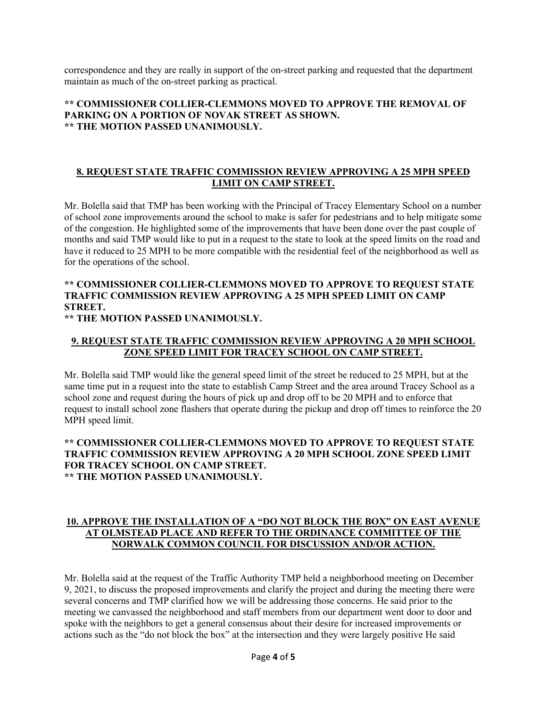correspondence and they are really in support of the on-street parking and requested that the department maintain as much of the on-street parking as practical.

### **\*\* COMMISSIONER COLLIER-CLEMMONS MOVED TO APPROVE THE REMOVAL OF PARKING ON A PORTION OF NOVAK STREET AS SHOWN. \*\* THE MOTION PASSED UNANIMOUSLY.**

### **8. REQUEST STATE TRAFFIC COMMISSION REVIEW APPROVING A 25 MPH SPEED LIMIT ON CAMP STREET.**

Mr. Bolella said that TMP has been working with the Principal of Tracey Elementary School on a number of school zone improvements around the school to make is safer for pedestrians and to help mitigate some of the congestion. He highlighted some of the improvements that have been done over the past couple of months and said TMP would like to put in a request to the state to look at the speed limits on the road and have it reduced to 25 MPH to be more compatible with the residential feel of the neighborhood as well as for the operations of the school.

# **\*\* COMMISSIONER COLLIER-CLEMMONS MOVED TO APPROVE TO REQUEST STATE TRAFFIC COMMISSION REVIEW APPROVING A 25 MPH SPEED LIMIT ON CAMP STREET.**

**\*\* THE MOTION PASSED UNANIMOUSLY.**

### **9. REQUEST STATE TRAFFIC COMMISSION REVIEW APPROVING A 20 MPH SCHOOL ZONE SPEED LIMIT FOR TRACEY SCHOOL ON CAMP STREET.**

Mr. Bolella said TMP would like the general speed limit of the street be reduced to 25 MPH, but at the same time put in a request into the state to establish Camp Street and the area around Tracey School as a school zone and request during the hours of pick up and drop off to be 20 MPH and to enforce that request to install school zone flashers that operate during the pickup and drop off times to reinforce the 20 MPH speed limit.

#### **\*\* COMMISSIONER COLLIER-CLEMMONS MOVED TO APPROVE TO REQUEST STATE TRAFFIC COMMISSION REVIEW APPROVING A 20 MPH SCHOOL ZONE SPEED LIMIT FOR TRACEY SCHOOL ON CAMP STREET. \*\* THE MOTION PASSED UNANIMOUSLY.**

### **10. APPROVE THE INSTALLATION OF A "DO NOT BLOCK THE BOX" ON EAST AVENUE AT OLMSTEAD PLACE AND REFER TO THE ORDINANCE COMMITTEE OF THE NORWALK COMMON COUNCIL FOR DISCUSSION AND/OR ACTION.**

Mr. Bolella said at the request of the Traffic Authority TMP held a neighborhood meeting on December 9, 2021, to discuss the proposed improvements and clarify the project and during the meeting there were several concerns and TMP clarified how we will be addressing those concerns. He said prior to the meeting we canvassed the neighborhood and staff members from our department went door to door and spoke with the neighbors to get a general consensus about their desire for increased improvements or actions such as the "do not block the box" at the intersection and they were largely positive He said